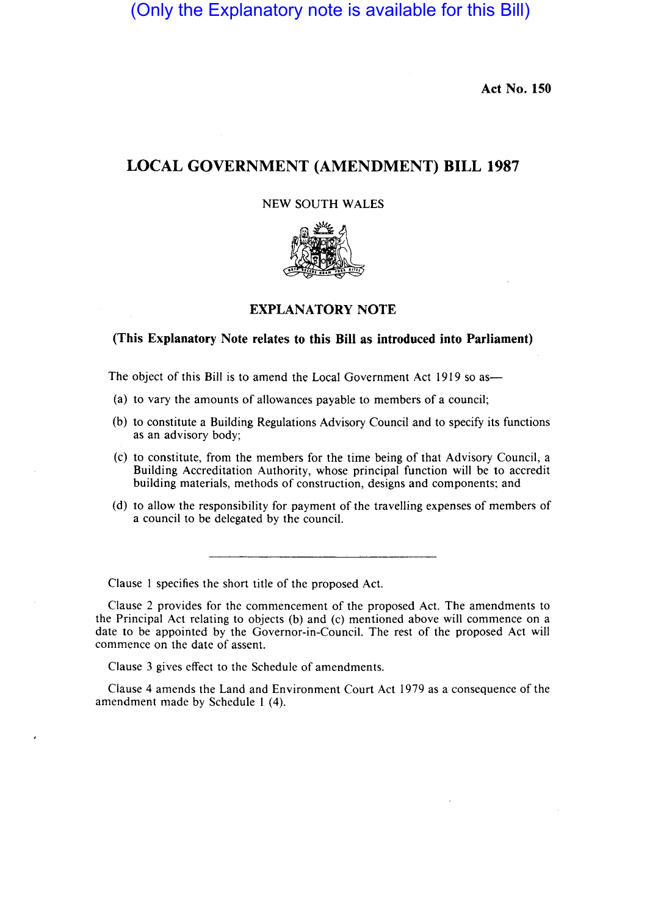(Only the Explanatory note is available for this Bill)

**Act No. 150** 

# **LOCAL GOVERNMENT (AMENDMENT) BILL 1987**

# NEW SOUTH WALES



# **EXPLANATORY NOTE**

### **(This Explanatory Note relates to this Bill as introduced into Parliament)**

The object of this Bill is to amend the Local Government Act 1919 so as—

- (a) to vary the amounts of allowances payable to members of a council;
- (b) to constitute a Building Regulations Advisory Council and to specify its functions as an advisory body;
- (c) to constitute, from the members for the time being of that Advisory Council, a Building Accreditation Authority, whose principal function will be to accredit building materials, methods of construction, designs and components; and
- (d) to allow the responsibility for payment of the travelling expenses of members of a council to be delegated by the council.

Clause I specifies the short title of the proposed Act.

Clause 2 provides for the commencement of the proposed Act. The amendments to the Principal Act relating to objects (b) and (c) mentioned above will commence on a date to be appointed by the Governor-in-Council. The rest of the proposed Act will commence on the date of assent.

Clause 3 gives effect to the Schedule of amendments.

Clause 4 amends the Land and Environment Court Act 1979 as a consequence of the amendment made by Schedule I (4).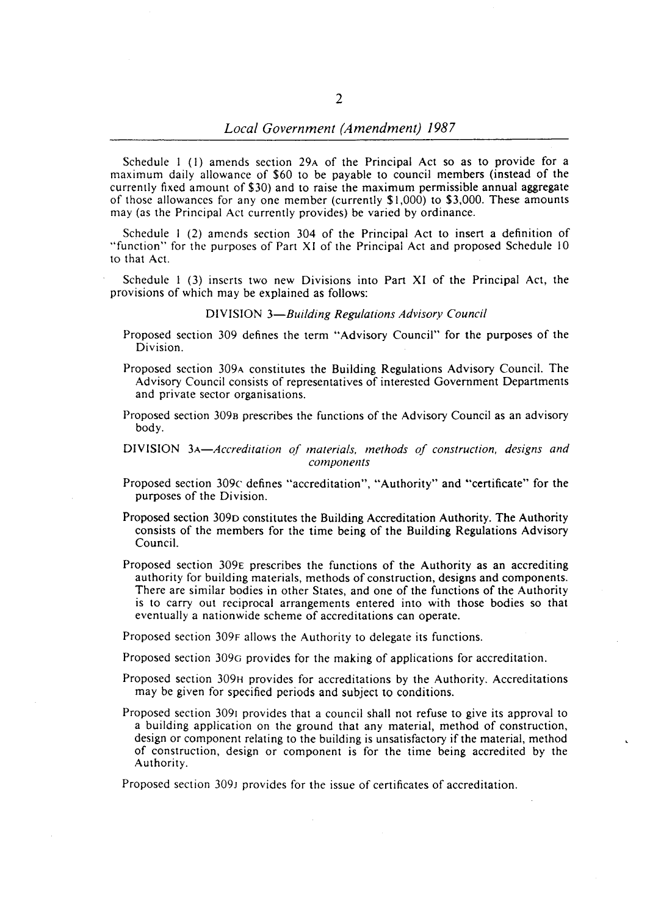Schedule I (I) amends section 29A of the Principal Act so as to provide for a maximum daily allowance of \$60 to be payable to council members (instead of the currently fixed amount of \$30) and to raise the maximum permissible annual aggregate of those allowances for any one member (currently  $$1,000$ ) to  $$3,000$ . These amounts may (as the Principal Act currently provides) be varied by ordinance.

Schedule I (2) amends section 304 of the Principal Act to insert a definition of "function" for the purposes of Part XI of the Principal Act and proposed Schedule 10 to that Act.

Schedule I (3) inserts two new Divisions into Part XI of the Principal Act, the provisions of which may be explained as follows:

#### DIVISION *3-Building Regulations Advisory Council*

- Proposed section 309 defines the term "Advisory Council" for the purposes of the Division.
- Proposed section 309A constitutes the Building Regulations Advisory Council. The Advisory Council consists of representatives of interested Government Departments and private sector organisations.
- Proposed section 3098 prescribes the functions of the Advisory Council as an advisory body.

### DIVISION *3A-Accreditation of materials, methods of construction, designs and*   $components$

- Proposed section 309c defines "accreditation", "Authority" and "certificate" for the purposes of the Division.
- Proposed section 309D constitutes the Building Accreditation Authority. The Authority consists of the members for the time being of the Building Regulations Advisory Council.
- Proposed section 309E prescribes the functions of the Authority as an accrediting authority for building materials, methods of construction, designs and components. There are similar bodies in other States, and one of the functions of the Authority is to carry out reciprocal arrangements entered into with those bodies so that eventually a nationwide scheme of accreditations can operate.

Proposed section 309F allows the Authority to delegate its functions.

Proposed section 309G provides for the making of applications for accreditation.

- Proposed section 309H provides for accreditations by the Authority. Accreditations may be given for specified periods and subject to conditions.
- Proposed section 3091 provides that a council shall not refuse to give its approval to a building application on the ground that any material, method of construction, design or component relating to the building is unsatisfactory if the material, method of construction, design or component is for the time being accredited by the Authority.

Proposed section 309J provides for the issue of certificates of accreditation.